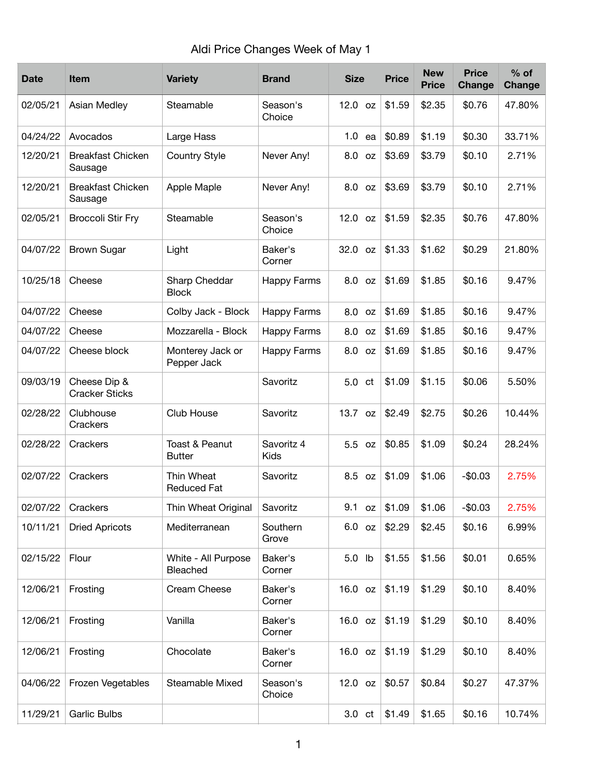| <b>Date</b> | <b>Item</b>                           | <b>Variety</b>                   | <b>Brand</b>              | <b>Size</b>      | <b>Price</b> | <b>New</b><br><b>Price</b> | <b>Price</b><br>Change | $%$ of<br><b>Change</b> |
|-------------|---------------------------------------|----------------------------------|---------------------------|------------------|--------------|----------------------------|------------------------|-------------------------|
| 02/05/21    | Asian Medley                          | Steamable                        | Season's<br>Choice        | $12.0$ oz        | \$1.59       | \$2.35                     | \$0.76                 | 47.80%                  |
| 04/24/22    | Avocados                              | Large Hass                       |                           | 1.0<br>ea        | \$0.89       | \$1.19                     | \$0.30                 | 33.71%                  |
| 12/20/21    | <b>Breakfast Chicken</b><br>Sausage   | <b>Country Style</b>             | Never Any!                | 8.0<br><b>OZ</b> | \$3.69       | \$3.79                     | \$0.10                 | 2.71%                   |
| 12/20/21    | <b>Breakfast Chicken</b><br>Sausage   | Apple Maple                      | Never Any!                | 8.0 oz           | \$3.69       | \$3.79                     | \$0.10                 | 2.71%                   |
| 02/05/21    | <b>Broccoli Stir Fry</b>              | Steamable                        | Season's<br>Choice        | 12.0 oz          | \$1.59       | \$2.35                     | \$0.76                 | 47.80%                  |
| 04/07/22    | <b>Brown Sugar</b>                    | Light                            | Baker's<br>Corner         | 32.0 oz          | \$1.33       | \$1.62                     | \$0.29                 | 21.80%                  |
| 10/25/18    | Cheese                                | Sharp Cheddar<br><b>Block</b>    | <b>Happy Farms</b>        | 8.0 oz           | \$1.69       | \$1.85                     | \$0.16                 | 9.47%                   |
| 04/07/22    | Cheese                                | Colby Jack - Block               | <b>Happy Farms</b>        | 8.0<br><b>OZ</b> | \$1.69       | \$1.85                     | \$0.16                 | 9.47%                   |
| 04/07/22    | Cheese                                | Mozzarella - Block               | <b>Happy Farms</b>        | 8.0<br>oz        | \$1.69       | \$1.85                     | \$0.16                 | 9.47%                   |
| 04/07/22    | Cheese block                          | Monterey Jack or<br>Pepper Jack  | <b>Happy Farms</b>        | 8.0 oz           | \$1.69       | \$1.85                     | \$0.16                 | 9.47%                   |
| 09/03/19    | Cheese Dip &<br><b>Cracker Sticks</b> |                                  | Savoritz                  | 5.0 ct           | \$1.09       | \$1.15                     | \$0.06                 | 5.50%                   |
| 02/28/22    | Clubhouse<br>Crackers                 | Club House                       | Savoritz                  | 13.7 oz          | \$2.49       | \$2.75                     | \$0.26                 | 10.44%                  |
| 02/28/22    | Crackers                              | Toast & Peanut<br><b>Butter</b>  | Savoritz 4<br><b>Kids</b> | 5.5 oz           | \$0.85       | \$1.09                     | \$0.24                 | 28.24%                  |
| 02/07/22    | Crackers                              | Thin Wheat<br><b>Reduced Fat</b> | Savoritz                  | 8.5 oz           | \$1.09       | \$1.06                     | $-$0.03$               | 2.75%                   |
| 02/07/22    | Crackers                              | Thin Wheat Original              | Savoritz                  | 9.1<br>oz        | \$1.09       | \$1.06                     | $-$0.03$               | 2.75%                   |
| 10/11/21    | <b>Dried Apricots</b>                 | Mediterranean                    | Southern<br>Grove         | 6.0 oz           | \$2.29       | \$2.45                     | \$0.16                 | 6.99%                   |
| 02/15/22    | Flour                                 | White - All Purpose<br>Bleached  | Baker's<br>Corner         | 5.0 lb           | \$1.55       | \$1.56                     | \$0.01                 | 0.65%                   |
| 12/06/21    | Frosting                              | Cream Cheese                     | Baker's<br>Corner         | 16.0 oz          | \$1.19       | \$1.29                     | \$0.10                 | 8.40%                   |
| 12/06/21    | Frosting                              | Vanilla                          | Baker's<br>Corner         | 16.0 oz          | \$1.19       | \$1.29                     | \$0.10                 | 8.40%                   |
| 12/06/21    | Frosting                              | Chocolate                        | Baker's<br>Corner         | 16.0 oz          | \$1.19       | \$1.29                     | \$0.10                 | 8.40%                   |
| 04/06/22    | Frozen Vegetables                     | Steamable Mixed                  | Season's<br>Choice        | $12.0$ oz        | \$0.57       | \$0.84                     | \$0.27                 | 47.37%                  |
| 11/29/21    | <b>Garlic Bulbs</b>                   |                                  |                           | $3.0 \text{ ct}$ | \$1.49       | \$1.65                     | \$0.16                 | 10.74%                  |

## Aldi Price Changes Week of May 1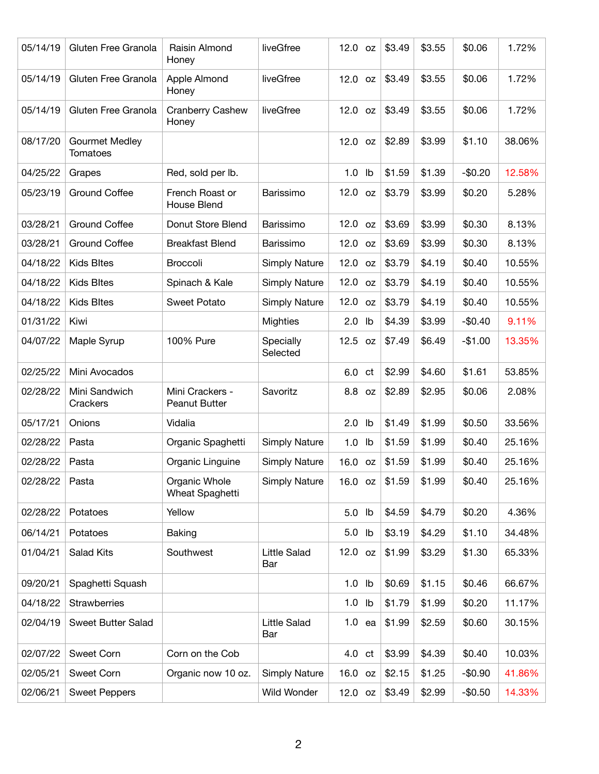| 05/14/19 | Gluten Free Granola               | Raisin Almond<br>Honey                  | liveGfree                  | $12.0$ oz         | \$3.49 | \$3.55 | \$0.06   | 1.72%  |
|----------|-----------------------------------|-----------------------------------------|----------------------------|-------------------|--------|--------|----------|--------|
| 05/14/19 | Gluten Free Granola               | Apple Almond<br>Honey                   | liveGfree                  | $12.0$ oz         | \$3.49 | \$3.55 | \$0.06   | 1.72%  |
| 05/14/19 | Gluten Free Granola               | <b>Cranberry Cashew</b><br>Honey        | liveGfree                  | $12.0$ oz         | \$3.49 | \$3.55 | \$0.06   | 1.72%  |
| 08/17/20 | <b>Gourmet Medley</b><br>Tomatoes |                                         |                            | $12.0$ oz         | \$2.89 | \$3.99 | \$1.10   | 38.06% |
| 04/25/22 | Grapes                            | Red, sold per lb.                       |                            | $1.0$ lb          | \$1.59 | \$1.39 | $-$0.20$ | 12.58% |
| 05/23/19 | <b>Ground Coffee</b>              | French Roast or<br><b>House Blend</b>   | Barissimo                  | 12.0<br><b>OZ</b> | \$3.79 | \$3.99 | \$0.20   | 5.28%  |
| 03/28/21 | <b>Ground Coffee</b>              | Donut Store Blend                       | Barissimo                  | 12.0 oz           | \$3.69 | \$3.99 | \$0.30   | 8.13%  |
| 03/28/21 | <b>Ground Coffee</b>              | <b>Breakfast Blend</b>                  | Barissimo                  | 12.0<br><b>OZ</b> | \$3.69 | \$3.99 | \$0.30   | 8.13%  |
| 04/18/22 | <b>Kids Bltes</b>                 | <b>Broccoli</b>                         | <b>Simply Nature</b>       | 12.0 oz           | \$3.79 | \$4.19 | \$0.40   | 10.55% |
| 04/18/22 | <b>Kids Bltes</b>                 | Spinach & Kale                          | <b>Simply Nature</b>       | $12.0$ oz         | \$3.79 | \$4.19 | \$0.40   | 10.55% |
| 04/18/22 | <b>Kids Bltes</b>                 | <b>Sweet Potato</b>                     | <b>Simply Nature</b>       | 12.0<br><b>OZ</b> | \$3.79 | \$4.19 | \$0.40   | 10.55% |
| 01/31/22 | Kiwi                              |                                         | <b>Mighties</b>            | $2.0$ lb          | \$4.39 | \$3.99 | $-$0.40$ | 9.11%  |
| 04/07/22 | Maple Syrup                       | 100% Pure                               | Specially<br>Selected      | 12.5 oz           | \$7.49 | \$6.49 | $-$1.00$ | 13.35% |
| 02/25/22 | Mini Avocados                     |                                         |                            | 6.0 ct            | \$2.99 | \$4.60 | \$1.61   | 53.85% |
| 02/28/22 | Mini Sandwich<br>Crackers         | Mini Crackers -<br><b>Peanut Butter</b> | Savoritz                   | 8.8 oz            | \$2.89 | \$2.95 | \$0.06   | 2.08%  |
| 05/17/21 | Onions                            | Vidalia                                 |                            | $2.0$ lb          | \$1.49 | \$1.99 | \$0.50   | 33.56% |
| 02/28/22 | Pasta                             | Organic Spaghetti                       | <b>Simply Nature</b>       | 1.0<br>lb         | \$1.59 | \$1.99 | \$0.40   | 25.16% |
| 02/28/22 | Pasta                             | Organic Linguine                        | <b>Simply Nature</b>       | 16.0 oz           | \$1.59 | \$1.99 | \$0.40   | 25.16% |
| 02/28/22 | Pasta                             | Organic Whole<br>Wheat Spaghetti        | <b>Simply Nature</b>       | 16.0 oz           | \$1.59 | \$1.99 | \$0.40   | 25.16% |
| 02/28/22 | Potatoes                          | Yellow                                  |                            | 5.0 lb            | \$4.59 | \$4.79 | \$0.20   | 4.36%  |
| 06/14/21 | Potatoes                          | <b>Baking</b>                           |                            | 5.0 lb            | \$3.19 | \$4.29 | \$1.10   | 34.48% |
| 01/04/21 | Salad Kits                        | Southwest                               | <b>Little Salad</b><br>Bar | 12.0 oz           | \$1.99 | \$3.29 | \$1.30   | 65.33% |
| 09/20/21 | Spaghetti Squash                  |                                         |                            | $1.0$ lb          | \$0.69 | \$1.15 | \$0.46   | 66.67% |
| 04/18/22 | Strawberries                      |                                         |                            | $1.0$ lb          | \$1.79 | \$1.99 | \$0.20   | 11.17% |
| 02/04/19 | Sweet Butter Salad                |                                         | <b>Little Salad</b><br>Bar | $1.0$ ea          | \$1.99 | \$2.59 | \$0.60   | 30.15% |
| 02/07/22 | Sweet Corn                        | Corn on the Cob                         |                            | 4.0 ct            | \$3.99 | \$4.39 | \$0.40   | 10.03% |
| 02/05/21 | Sweet Corn                        | Organic now 10 oz.                      | <b>Simply Nature</b>       | 16.0 oz           | \$2.15 | \$1.25 | $-$0.90$ | 41.86% |
| 02/06/21 | <b>Sweet Peppers</b>              |                                         | Wild Wonder                | 12.0 oz           | \$3.49 | \$2.99 | $-$0.50$ | 14.33% |